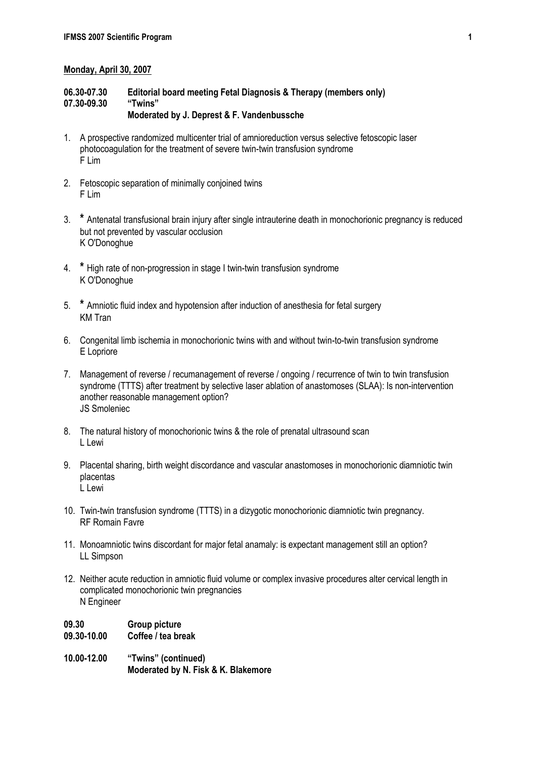### **Monday, April 30, 2007**

## **06.30-07.30 Editorial board meeting Fetal Diagnosis & Therapy (members only) 07.30-09.30 "Twins"**

# **Moderated by J. Deprest & F. Vandenbussche**

- 1. A prospective randomized multicenter trial of amnioreduction versus selective fetoscopic laser photocoagulation for the treatment of severe twin-twin transfusion syndrome F Lim
- 2. Fetoscopic separation of minimally conjoined twins F Lim
- 3. **\*** Antenatal transfusional brain injury after single intrauterine death in monochorionic pregnancy is reduced but not prevented by vascular occlusion K O'Donoghue
- 4. **\*** High rate of non-progression in stage I twin-twin transfusion syndrome K O'Donoghue
- 5. **\*** Amniotic fluid index and hypotension after induction of anesthesia for fetal surgery KM Tran
- 6. Congenital limb ischemia in monochorionic twins with and without twin-to-twin transfusion syndrome E Lopriore
- 7. Management of reverse / recumanagement of reverse / ongoing / recurrence of twin to twin transfusion syndrome (TTTS) after treatment by selective laser ablation of anastomoses (SLAA): Is non-intervention another reasonable management option? JS Smoleniec
- 8. The natural history of monochorionic twins & the role of prenatal ultrasound scan L Lewi
- 9. Placental sharing, birth weight discordance and vascular anastomoses in monochorionic diamniotic twin placentas L Lewi
- 10. Twin-twin transfusion syndrome (TTTS) in a dizygotic monochorionic diamniotic twin pregnancy. RF Romain Favre
- 11. Monoamniotic twins discordant for major fetal anamaly: is expectant management still an option? LL Simpson
- 12. Neither acute reduction in amniotic fluid volume or complex invasive procedures alter cervical length in complicated monochorionic twin pregnancies N Engineer
- **09.30 Group picture**
- **09.30-10.00 Coffee / tea break**
- **10.00-12.00 "Twins" (continued) Moderated by N. Fisk & K. Blakemore**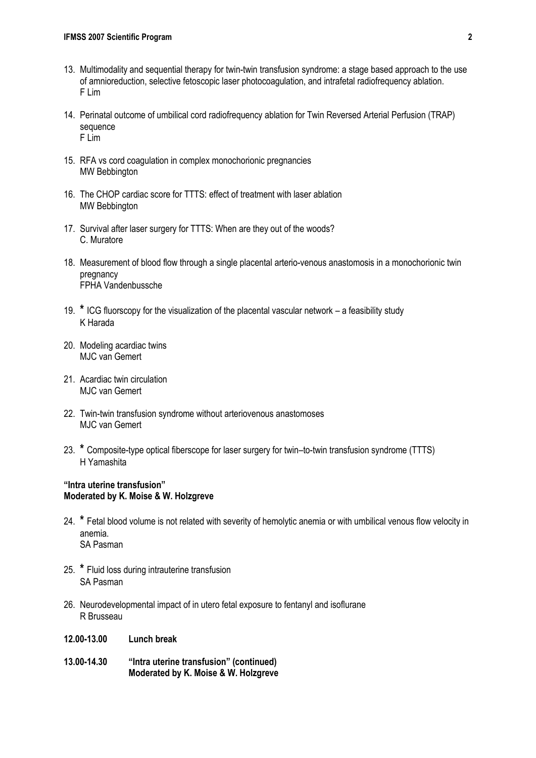- 13. Multimodality and sequential therapy for twin-twin transfusion syndrome: a stage based approach to the use of amnioreduction, selective fetoscopic laser photocoagulation, and intrafetal radiofrequency ablation. F Lim
- 14. Perinatal outcome of umbilical cord radiofrequency ablation for Twin Reversed Arterial Perfusion (TRAP) sequence F Lim
- 15. RFA vs cord coagulation in complex monochorionic pregnancies MW Bebbington
- 16. The CHOP cardiac score for TTTS: effect of treatment with laser ablation MW Bebbington
- 17. Survival after laser surgery for TTTS: When are they out of the woods? C. Muratore
- 18. Measurement of blood flow through a single placental arterio-venous anastomosis in a monochorionic twin pregnancy FPHA Vandenbussche
- 19. **\*** ICG fluorscopy for the visualization of the placental vascular network a feasibility study K Harada
- 20. Modeling acardiac twins MJC van Gemert
- 21. Acardiac twin circulation MJC van Gemert
- 22. Twin-twin transfusion syndrome without arteriovenous anastomoses MJC van Gemert
- 23. **\*** Composite-type optical fiberscope for laser surgery for twin–to-twin transfusion syndrome (TTTS) H Yamashita

#### **"Intra uterine transfusion" Moderated by K. Moise & W. Holzgreve**

- 24. **\*** Fetal blood volume is not related with severity of hemolytic anemia or with umbilical venous flow velocity in anemia. SA Pasman
- 25. **\*** Fluid loss during intrauterine transfusion SA Pasman
- 26. Neurodevelopmental impact of in utero fetal exposure to fentanyl and isoflurane R Brusseau
- **12.00-13.00 Lunch break**
- **13.00-14.30 "Intra uterine transfusion" (continued) Moderated by K. Moise & W. Holzgreve**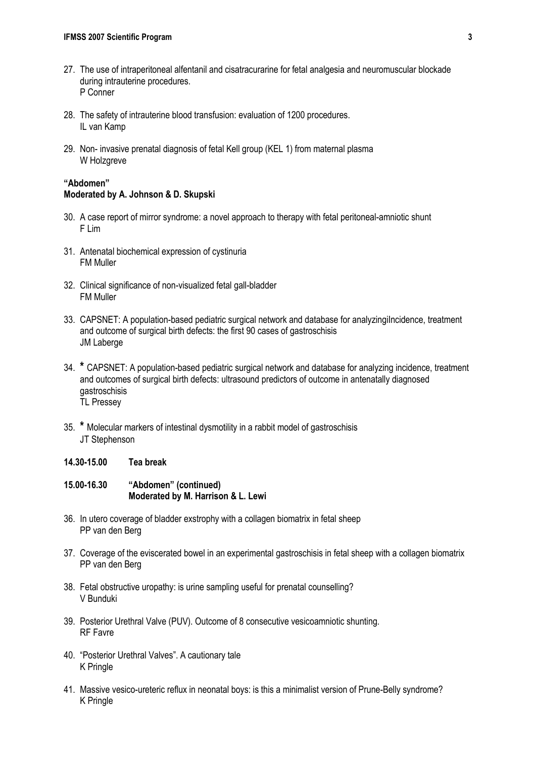- 27. The use of intraperitoneal alfentanil and cisatracurarine for fetal analgesia and neuromuscular blockade during intrauterine procedures. P Conner
- 28. The safety of intrauterine blood transfusion: evaluation of 1200 procedures. IL van Kamp
- 29. Non- invasive prenatal diagnosis of fetal Kell group (KEL 1) from maternal plasma W Holzgreve

### **"Abdomen" Moderated by A. Johnson & D. Skupski**

- 30. A case report of mirror syndrome: a novel approach to therapy with fetal peritoneal-amniotic shunt F Lim
- 31. Antenatal biochemical expression of cystinuria FM Muller
- 32. Clinical significance of non-visualized fetal gall-bladder FM Muller
- 33. CAPSNET: A population-based pediatric surgical network and database for analyzingiIncidence, treatment and outcome of surgical birth defects: the first 90 cases of gastroschisis JM Laberge
- 34. **\*** CAPSNET: A population-based pediatric surgical network and database for analyzing incidence, treatment and outcomes of surgical birth defects: ultrasound predictors of outcome in antenatally diagnosed gastroschisis TL Pressey
- 35. **\*** Molecular markers of intestinal dysmotility in a rabbit model of gastroschisis JT Stephenson
- **14.30-15.00 Tea break**
- **15.00-16.30 "Abdomen" (continued) Moderated by M. Harrison & L. Lewi**
- 36. In utero coverage of bladder exstrophy with a collagen biomatrix in fetal sheep PP van den Berg
- 37. Coverage of the eviscerated bowel in an experimental gastroschisis in fetal sheep with a collagen biomatrix PP van den Berg
- 38. Fetal obstructive uropathy: is urine sampling useful for prenatal counselling? V Bunduki
- 39. Posterior Urethral Valve (PUV). Outcome of 8 consecutive vesicoamniotic shunting. RF Favre
- 40. "Posterior Urethral Valves". A cautionary tale K Pringle
- 41. Massive vesico-ureteric reflux in neonatal boys: is this a minimalist version of Prune-Belly syndrome? K Pringle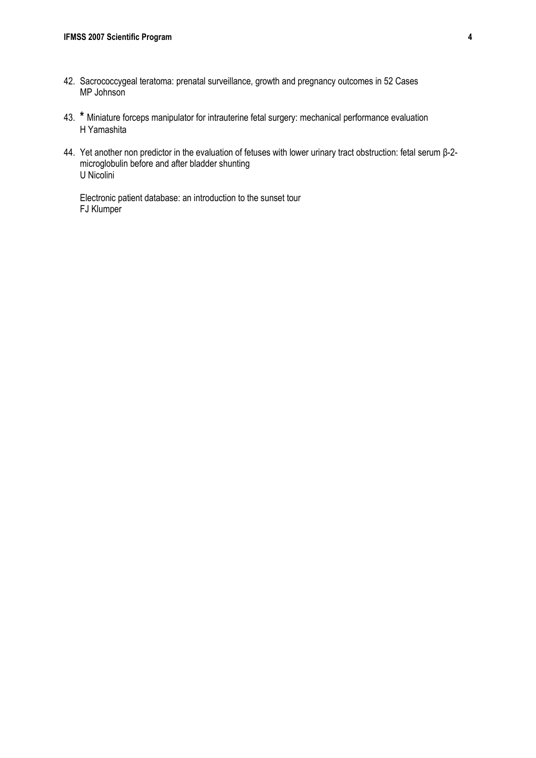- 42. Sacrococcygeal teratoma: prenatal surveillance, growth and pregnancy outcomes in 52 Cases MP Johnson
- 43. **\*** Miniature forceps manipulator for intrauterine fetal surgery: mechanical performance evaluation H Yamashita
- 44. Yet another non predictor in the evaluation of fetuses with lower urinary tract obstruction: fetal serum β-2 microglobulin before and after bladder shunting U Nicolini

Electronic patient database: an introduction to the sunset tour FJ Klumper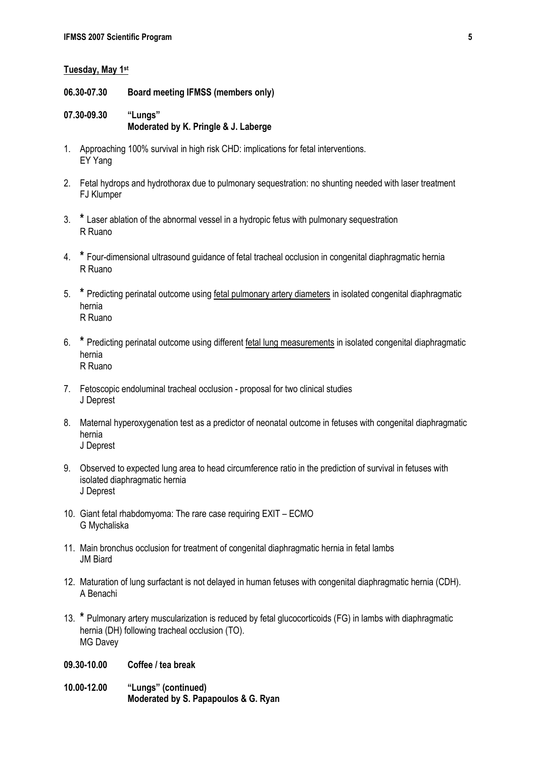#### **Tuesday, May 1st**

- **06.30-07.30 Board meeting IFMSS (members only)**
- **07.30-09.30 "Lungs" Moderated by K. Pringle & J. Laberge**
- 1. Approaching 100% survival in high risk CHD: implications for fetal interventions. EY Yang
- 2. Fetal hydrops and hydrothorax due to pulmonary sequestration: no shunting needed with laser treatment FJ Klumper
- 3. **\*** Laser ablation of the abnormal vessel in a hydropic fetus with pulmonary sequestration R Ruano
- 4. **\*** Four-dimensional ultrasound guidance of fetal tracheal occlusion in congenital diaphragmatic hernia R Ruano
- 5. **\*** Predicting perinatal outcome using fetal pulmonary artery diameters in isolated congenital diaphragmatic hernia R Ruano
- 6. **\*** Predicting perinatal outcome using different fetal lung measurements in isolated congenital diaphragmatic hernia R Ruano
- 7. Fetoscopic endoluminal tracheal occlusion proposal for two clinical studies J Deprest
- 8. Maternal hyperoxygenation test as a predictor of neonatal outcome in fetuses with congenital diaphragmatic hernia J Deprest
- 9. Observed to expected lung area to head circumference ratio in the prediction of survival in fetuses with isolated diaphragmatic hernia J Deprest
- 10. Giant fetal rhabdomyoma: The rare case requiring EXIT ECMO G Mychaliska
- 11. Main bronchus occlusion for treatment of congenital diaphragmatic hernia in fetal lambs JM Biard
- 12. Maturation of lung surfactant is not delayed in human fetuses with congenital diaphragmatic hernia (CDH). A Benachi
- 13. **\*** Pulmonary artery muscularization is reduced by fetal glucocorticoids (FG) in lambs with diaphragmatic hernia (DH) following tracheal occlusion (TO). MG Davey
- **09.30-10.00 Coffee / tea break**
- **10.00-12.00 "Lungs" (continued) Moderated by S. Papapoulos & G. Ryan**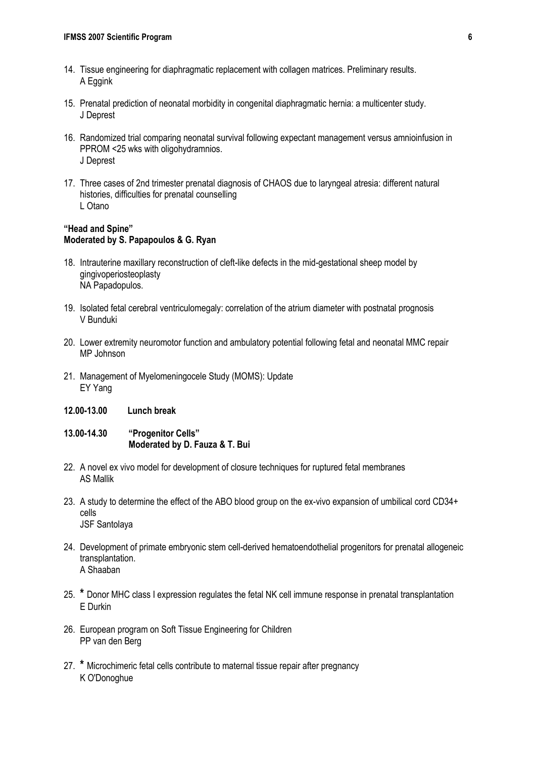- 14. Tissue engineering for diaphragmatic replacement with collagen matrices. Preliminary results. A Eggink
- 15. Prenatal prediction of neonatal morbidity in congenital diaphragmatic hernia: a multicenter study. J Deprest
- 16. Randomized trial comparing neonatal survival following expectant management versus amnioinfusion in PPROM <25 wks with oligohydramnios. J Deprest
- 17. Three cases of 2nd trimester prenatal diagnosis of CHAOS due to laryngeal atresia: different natural histories, difficulties for prenatal counselling L Otano

### **"Head and Spine" Moderated by S. Papapoulos & G. Ryan**

- 18. Intrauterine maxillary reconstruction of cleft-like defects in the mid-gestational sheep model by gingivoperiosteoplasty NA Papadopulos.
- 19. Isolated fetal cerebral ventriculomegaly: correlation of the atrium diameter with postnatal prognosis V Bunduki
- 20. Lower extremity neuromotor function and ambulatory potential following fetal and neonatal MMC repair MP Johnson
- 21. Management of Myelomeningocele Study (MOMS): Update EY Yang
- **12.00-13.00 Lunch break**
- **13.00-14.30 "Progenitor Cells" Moderated by D. Fauza & T. Bui**
- 22. A novel ex vivo model for development of closure techniques for ruptured fetal membranes AS Mallik
- 23. A study to determine the effect of the ABO blood group on the ex-vivo expansion of umbilical cord CD34+ cells JSF Santolaya
- 24. Development of primate embryonic stem cell-derived hematoendothelial progenitors for prenatal allogeneic transplantation. A Shaaban
- 25. **\*** Donor MHC class I expression regulates the fetal NK cell immune response in prenatal transplantation E Durkin
- 26. European program on Soft Tissue Engineering for Children PP van den Berg
- 27. **\*** Microchimeric fetal cells contribute to maternal tissue repair after pregnancy K O'Donoghue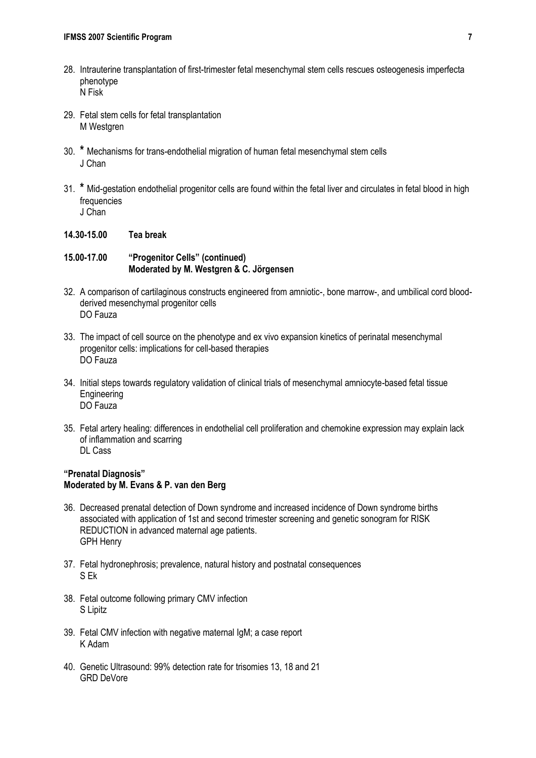- 28. Intrauterine transplantation of first-trimester fetal mesenchymal stem cells rescues osteogenesis imperfecta phenotype N Fisk
- 29. Fetal stem cells for fetal transplantation M Westgren
- 30. **\*** Mechanisms for trans-endothelial migration of human fetal mesenchymal stem cells J Chan
- 31. **\*** Mid-gestation endothelial progenitor cells are found within the fetal liver and circulates in fetal blood in high frequencies J Chan
- **14.30-15.00 Tea break**

**15.00-17.00 "Progenitor Cells" (continued) Moderated by M. Westgren & C. Jörgensen**

- 32. A comparison of cartilaginous constructs engineered from amniotic-, bone marrow-, and umbilical cord bloodderived mesenchymal progenitor cells DO Fauza
- 33. The impact of cell source on the phenotype and ex vivo expansion kinetics of perinatal mesenchymal progenitor cells: implications for cell-based therapies DO Fauza
- 34. Initial steps towards regulatory validation of clinical trials of mesenchymal amniocyte-based fetal tissue **Engineering** DO Fauza
- 35. Fetal artery healing: differences in endothelial cell proliferation and chemokine expression may explain lack of inflammation and scarring DL Cass

## **"Prenatal Diagnosis" Moderated by M. Evans & P. van den Berg**

- 36. Decreased prenatal detection of Down syndrome and increased incidence of Down syndrome births associated with application of 1st and second trimester screening and genetic sonogram for RISK REDUCTION in advanced maternal age patients. GPH Henry
- 37. Fetal hydronephrosis; prevalence, natural history and postnatal consequences S Ek
- 38. Fetal outcome following primary CMV infection S Lipitz
- 39. Fetal CMV infection with negative maternal IgM; a case report K Adam
- 40. Genetic Ultrasound: 99% detection rate for trisomies 13, 18 and 21 GRD DeVore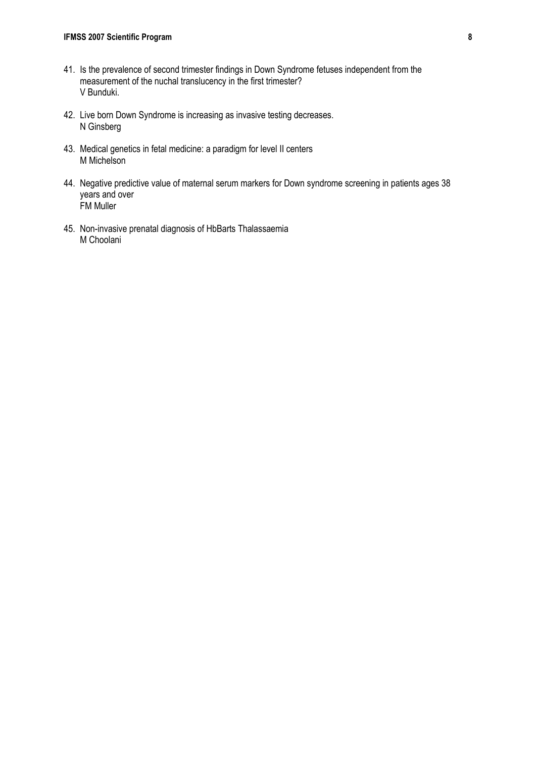- 41. Is the prevalence of second trimester findings in Down Syndrome fetuses independent from the measurement of the nuchal translucency in the first trimester? V Bunduki.
- 42. Live born Down Syndrome is increasing as invasive testing decreases. N Ginsberg
- 43. Medical genetics in fetal medicine: a paradigm for level II centers M Michelson
- 44. Negative predictive value of maternal serum markers for Down syndrome screening in patients ages 38 years and over FM Muller
- 45. Non-invasive prenatal diagnosis of HbBarts Thalassaemia M Choolani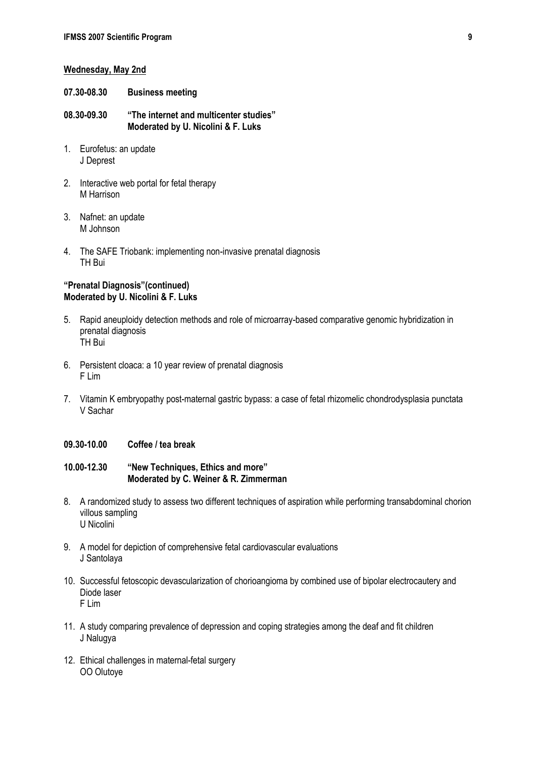#### **Wednesday, May 2nd**

- **07.30-08.30 Business meeting**
- **08.30-09.30 "The internet and multicenter studies" Moderated by U. Nicolini & F. Luks**
- 1. Eurofetus: an update J Deprest
- 2. Interactive web portal for fetal therapy M Harrison
- 3. Nafnet: an update M Johnson
- 4. The SAFE Triobank: implementing non-invasive prenatal diagnosis TH Bui

#### **"Prenatal Diagnosis"(continued) Moderated by U. Nicolini & F. Luks**

- 5. Rapid aneuploidy detection methods and role of microarray-based comparative genomic hybridization in prenatal diagnosis TH Bui
- 6. Persistent cloaca: a 10 year review of prenatal diagnosis F Lim
- 7. Vitamin K embryopathy post-maternal gastric bypass: a case of fetal rhizomelic chondrodysplasia punctata V Sachar
- **09.30-10.00 Coffee / tea break**

#### **10.00-12.30 "New Techniques, Ethics and more" Moderated by C. Weiner & R. Zimmerman**

- 8. A randomized study to assess two different techniques of aspiration while performing transabdominal chorion villous sampling U Nicolini
- 9. A model for depiction of comprehensive fetal cardiovascular evaluations J Santolaya
- 10. Successful fetoscopic devascularization of chorioangioma by combined use of bipolar electrocautery and Diode laser F Lim
- 11. A study comparing prevalence of depression and coping strategies among the deaf and fit children J Nalugya
- 12. Ethical challenges in maternal-fetal surgery OO Olutoye